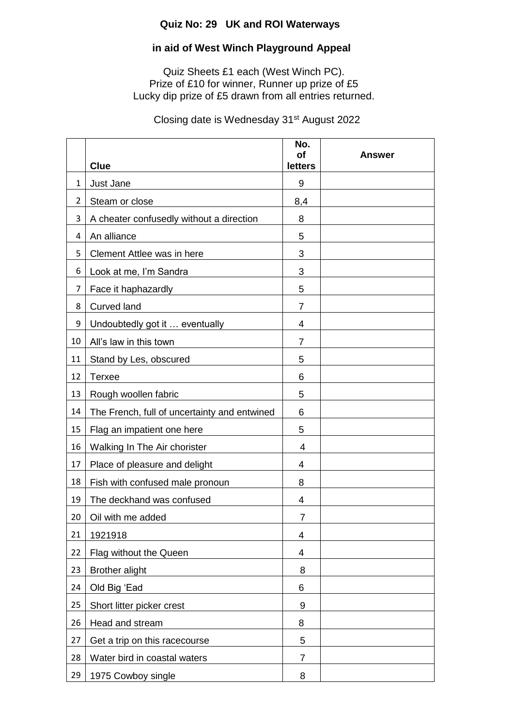## **Quiz No: 29 UK and ROI Waterways**

## **in aid of West Winch Playground Appeal**

Quiz Sheets £1 each (West Winch PC). Prize of £10 for winner, Runner up prize of £5 Lucky dip prize of £5 drawn from all entries returned.

Closing date is Wednesday 31st August 2022

|                | <b>Clue</b>                                  | No.<br><b>of</b><br><b>letters</b> | Answer |
|----------------|----------------------------------------------|------------------------------------|--------|
| 1              | Just Jane                                    | 9                                  |        |
| $\overline{2}$ | Steam or close                               | 8,4                                |        |
| 3              | A cheater confusedly without a direction     | 8                                  |        |
| 4              | An alliance                                  | 5                                  |        |
| 5              | Clement Attlee was in here                   | 3                                  |        |
| 6              | Look at me, I'm Sandra                       | 3                                  |        |
| 7              | Face it haphazardly                          | 5                                  |        |
| 8              | <b>Curved land</b>                           | $\overline{7}$                     |        |
| 9              | Undoubtedly got it  eventually               | 4                                  |        |
| 10             | All's law in this town                       | $\overline{7}$                     |        |
| 11             | Stand by Les, obscured                       | 5                                  |        |
| 12             | <b>Terxee</b>                                | 6                                  |        |
| 13             | Rough woollen fabric                         | 5                                  |        |
| 14             | The French, full of uncertainty and entwined | 6                                  |        |
| 15             | Flag an impatient one here                   | 5                                  |        |
| 16             | Walking In The Air chorister                 | 4                                  |        |
| 17             | Place of pleasure and delight                | 4                                  |        |
| 18             | Fish with confused male pronoun              | 8                                  |        |
| 19             | The deckhand was confused                    | 4                                  |        |
| 20             | Oil with me added                            | $\overline{7}$                     |        |
| 21             | 1921918                                      | 4                                  |        |
| 22             | Flag without the Queen                       | 4                                  |        |
| 23             | <b>Brother alight</b>                        | 8                                  |        |
| 24             | Old Big 'Ead                                 | 6                                  |        |
| 25             | Short litter picker crest                    | 9                                  |        |
| 26             | Head and stream                              | 8                                  |        |
| 27             | Get a trip on this racecourse                | 5                                  |        |
| 28             | Water bird in coastal waters                 | 7                                  |        |
| 29             | 1975 Cowboy single                           | 8                                  |        |